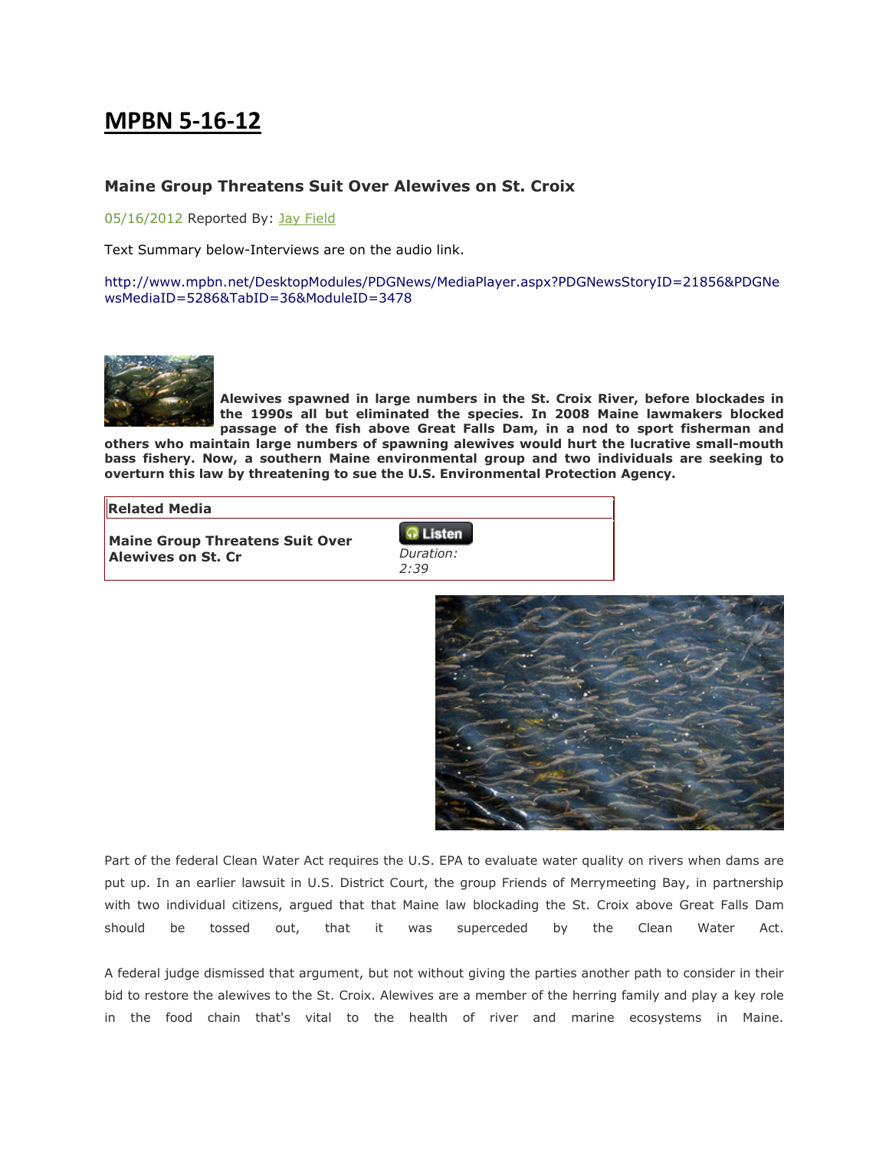## MPBN 5-16-12

## Maine Group Threatens Suit Over Alewives on St. Croix

05/16/2012 Reported By: Jay Field

Text Summary below-Interviews are on the audio link.

http://www.mpbn.net/DesktopModules/PDGNews/MediaPlayer.aspx?PDGNewsStoryID=21856&PDGNe wsMediaID=5286&TabID=36&ModuleID=3478



Alewives spawned in large numbers in the St. Croix River, before blockades in the 1990s all but eliminated the species. In 2008 Maine lawmakers blocked passage of the fish above Great Falls Dam, in a nod to sport fisherman and

others who maintain large numbers of spawning alewives would hurt the lucrative small-mouth bass fishery. Now, a southern Maine environmental group and two individuals are seeking to overturn this law by threatening to sue the U.S. Environmental Protection Agency.

## Related Media

Maine Group Threatens Suit Over Alewives on St. Cr.

| Listen    |  |
|-----------|--|
| Duration: |  |
| 2:39      |  |



Part of the federal Clean Water Act requires the U.S. EPA to evaluate water quality on rivers when dams are put up. In an earlier lawsuit in U.S. District Court, the group Friends of Merrymeeting Bay, in partnership with two individual citizens, argued that that Maine law blockading the St. Croix above Great Falls Dam should be tossed out, that it was superceded by the Clean Water Act.

A federal judge dismissed that argument, but not without giving the parties another path to consider in their bid to restore the alewives to the St. Croix. Alewives are a member of the herring family and play a key role in the food chain that's vital to the health of river and marine ecosystems in Maine.